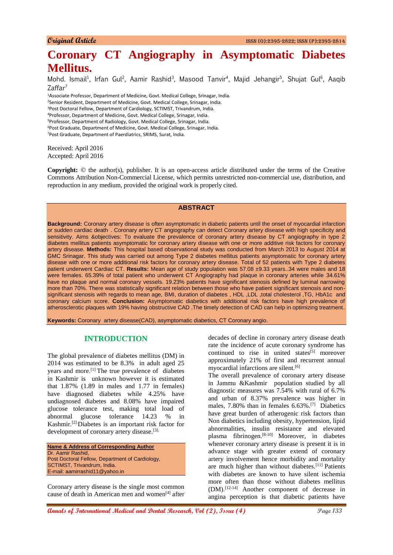# **Coronary CT Angiography in Asymptomatic Diabetes Mellitus.**

Mohd. Ismail<sup>1</sup>, Irfan Gul<sup>2</sup>, Aamir Rashid<sup>3</sup>, Masood Tanvir<sup>4</sup>, Majid Jehangir<sup>5</sup>, Shujat Gul<sup>6</sup>, Aaqib  $Z$ affar<sup>7</sup>

Associate Professor, Department of Medicine, Govt. Medical College, Srinagar, India. <sup>2</sup>Senior Resident, Department of Medicine, Govt. Medical College, Srinagar, India. Post Doctoral Fellow, Department of Cardiology, SCTIMST, Trivandrum, India. Professor, Department of Medicine, Govt. Medical College, Srinagar, India. Professor, Department of Radiology, Govt. Medical College, Srinagar, India. Post Graduate, Department of Medicine, Govt. Medical College, Srinagar, India. Post Graduate, Department of Paerdiatrics, SRIMS, Surat, India.

Received: April 2016 Accepted: April 2016

**Copyright:** © the author(s), publisher. It is an open-access article distributed under the terms of the Creative Commons Attribution Non-Commercial License, which permits unrestricted non-commercial use, distribution, and reproduction in any medium, provided the original work is properly cited.

# **ABSTRACT**

**Background:** Coronary artery disease is often asymptomatic in diabetic patients until the onset of myocardial infarction or sudden cardiac death. . Coronary artery CT angiography can detect Coronary artery disease with high specificity and sensitivity. Aims &objectives: To evaluate the prevalence of coronary artery disease by CT angiography in type 2 diabetes mellitus patients asymptomatic for coronary artery disease with one or more additive risk factors for coronary artery disease. **Methods:** This hospital based observational study was conducted from March 2013 to August 2014 at GMC Srinagar. This study was carried out among Type 2 diabetes mellitus patients asymptomatic for coronary artery disease with one or more additional risk factors for coronary artery disease. Total of 52 patients with Type 2 diabetes patient underwent Cardiac CT. **Results:** Mean age of study population was 57.08 ±9.33 years..34 were males and 18 were females. 65.39% of total patient who underwent CT Angiography had plaque in coronary arteries while 34.61% have no plaque and normal coronary vessels. 19.23% patients have significant stenosis defined by luminal narrowing more than 70%. There was statistically significant relation between those who have patient significant stenosis and nonsignificant stenosis with regards to mean age, BMI, duration of diabetes , HDL ,LDL ,total cholesterol ,TG, HbA1c and coronary calcium score. **Conclusion:** Asymptomatic diabetics with additional risk factors have high prevalence of atherosclerotic plaques with 19% having obstructive CAD .The timely detection of CAD can help in optimizing treatment.

**Keywords:** Coronary artery disease(CAD), asymptomatic diabetics, CT Coronary angio.

#### **INTRODUCTION**

The global prevalence of diabetes mellitus (DM) in 2014 was estimated to be 8.3% in adult aged 25 years and more.<sup>[1]</sup> The true prevalence of diabetes in Kashmir is unknown however it is estimated that 1.87% (1.89 in males and 1.77 in females) have diagnosed diabetes while 4.25% have undiagnosed diabetes and 8.08% have impaired glucose tolerance test, making total load of abnormal glucose tolerance 14.23 % in Kashmir.[2].Diabetes is an important risk factor for development of coronary artery disease.<sup>[3].</sup>

**Name & Address of Corresponding Author** Dr. Aamir Rashid, Post Doctoral Fellow, Department of Cardiology, SCTIMST, Trivandrum, India. E-mail: aamirrashid11@yahoo.in

Coronary artery disease is the single most common cause of death in American men and women[4] after decades of decline in coronary artery disease death rate the incidence of acute coronary syndrome has continued to rise in united states $[5]$  moreover approximately 21% of first and recurrent annual myocardial infarctions are silent.[6]

The overall prevalence of coronary artery disease in Jammu &Kashmir population studied by all diagnostic measures was 7.54% with rural of 6.7% and urban of 8.37% prevalence was higher in males, 7.80% than in females 6.63%.[7] Diabetics have great burden of atherogenic risk factors than Non diabetics including obesity, hypertension, lipid abnormalities, insulin resistance and elevated plasma fibrinogen. [8-10] Moreover, in diabetes whenever coronary artery disease is present it is in advance stage with greater extend of coronary artery involvement hence morbidity and mortality are much higher than without diabetes.[11] Patients with diabetes are known to have silent ischemia more often than those without diabetes mellitus (DM).[12-14] Another component of decrease in angina perception is that diabetic patients have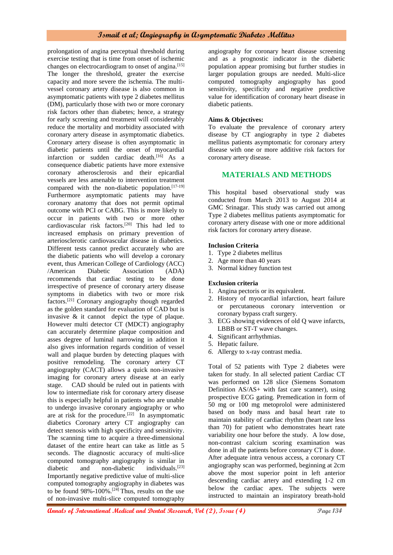prolongation of angina perceptual threshold during exercise testing that is time from onset of ischemic changes on electrocardiogram to onset of angina.<sup>[15]</sup> The longer the threshold, greater the exercise capacity and more severe the ischemia. The multivessel coronary artery disease is also common in asymptomatic patients with type 2 diabetes mellitus (DM), particularly those with two or more coronary risk factors other than diabetes; hence, a strategy for early screening and treatment will considerably reduce the mortality and morbidity associated with coronary artery disease in asymptomatic diabetics. Coronary artery disease is often asymptomatic in diabetic patients until the onset of myocardial infarction or sudden cardiac death.<sup>[16]</sup> As a consequence diabetic patients have more extensive coronary atherosclerosis and their epicardial vessels are less amenable to intervention treatment compared with the non-diabetic population.<sup>[17-19]</sup> Furthermore asymptomatic patients may have coronary anatomy that does not permit optimal outcome with PCI or CABG. This is more likely to occur in patients with two or more other cardiovascular risk factors.[20] This had led to increased emphasis on primary prevention of arteriosclerotic cardiovascular disease in diabetics. Different tests cannot predict accurately who are the diabetic patients who will develop a coronary event, thus American College of Cardiology (ACC) /American Diabetic Association (ADA) recommends that cardiac testing to be done irrespective of presence of coronary artery disease symptoms in diabetics with two or more risk factors.[21] Coronary angiography though regarded as the golden standard for evaluation of CAD but is invasive & it cannot depict the type of plaque. However multi detector CT (MDCT) angiography can accurately determine plaque composition and asses degree of luminal narrowing in addition it also gives information regards condition of vessel wall and plaque burden by detecting plaques with positive remodeling. The coronary artery CT angiography (CACT) allows a quick non-invasive imaging for coronary artery disease at an early stage. CAD should be ruled out in patients with low to intermediate risk for coronary artery disease this is especially helpful in patients who are unable to undergo invasive coronary angiography or who are at risk for the procedure.<sup>[22]</sup> In asymptomatic diabetics Coronary artery CT angiography can detect stenosis with high specificity and sensitivity. The scanning time to acquire a three-dimensional dataset of the entire heart can take as little as 5 seconds. The diagnostic accuracy of multi-slice computed tomography angiography is similar in diabetic and non-diabetic individuals.[23] Importantly negative predictive value of multi-slice computed tomography angiography in diabetes was to be found  $98\% - 100\%$ .<sup>[24]</sup> Thus, results on the use of non-invasive multi-slice computed tomography

angiography for coronary heart disease screening and as a prognostic indicator in the diabetic population appear promising but further studies in larger population groups are needed. Multi-slice computed tomography angiography has good sensitivity, specificity and negative predictive value for identification of coronary heart disease in diabetic patients.

#### **Aims & Objectives:**

To evaluate the prevalence of coronary artery disease by CT angiography in type 2 diabetes mellitus patients asymptomatic for coronary artery disease with one or more additive risk factors for coronary artery disease.

## **MATERIALS AND METHODS**

This hospital based observational study was conducted from March 2013 to August 2014 at GMC Srinagar. This study was carried out among Type 2 diabetes mellitus patients asymptomatic for coronary artery disease with one or more additional risk factors for coronary artery disease.

#### **Inclusion Criteria**

- 1. Type 2 diabetes mellitus
- 2. Age more than 40 years
- 3. Normal kidney function test

#### **Exclusion criteria**

- 1. Angina pectoris or its equivalent.
- 2. History of myocardial infarction, heart failure or percutaneous coronary intervention or coronary bypass craft surgery.
- 3. ECG showing evidences of old Q wave infarcts, LBBB or ST-T wave changes.
- 4. Significant arrhythmias.
- 5. Hepatic failure.
- *6.* Allergy to x-ray contrast media.

Total of 52 patients with Type 2 diabetes were taken for study. In all selected patient Cardiac CT was performed on 128 slice (Siemens Somatom Definition AS/AS+ with fast care scanner), using prospective ECG gating. Premedication in form of 50 mg or 100 mg metoprolol were administered based on body mass and basal heart rate to maintain stability of cardiac rhythm (heart rate less than 70) for patient who demonstrates heart rate variability one hour before the study. A low dose, non-contrast calcium scoring examination was done in all the patients before coronary CT is done. After adequate intra venous access, a coronary CT angiography scan was performed, beginning at 2cm above the most superior point in left anterior descending cardiac artery and extending 1-2 cm below the cardiac apex. The subjects were instructed to maintain an inspiratory breath-hold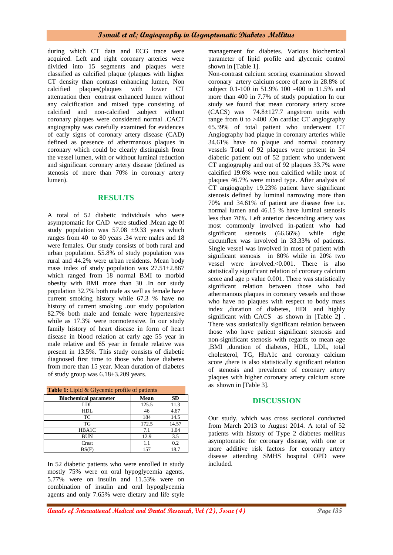during which CT data and ECG trace were acquired. Left and right coronary arteries were divided into 15 segments and plaques were classified as calcified plaque (plaques with higher CT density than contrast enhancing lumen, Non calcified plaques plaques with lower CT calcified plaques(plaques with lower CT attenuation then contrast enhanced lumen without any calcification and mixed type consisting of calcified and non-calcified .subject without coronary plaques were considered normal .CACT angiography was carefully examined for evidences of early signs of coronary artery disease (CAD) defined as presence of athermanous plaques in coronary which could be clearly distinguish from the vessel lumen, with or without luminal reduction and significant coronary artery disease (defined as stenosis of more than 70% in coronary artery lumen).

#### **RESULTS**

A total of 52 diabetic individuals who were asymptomatic for CAD were studied .Mean age 0f study population was  $57.08 \pm 9.33$  years which ranges from 40 to 80 years .34 were males and 18 were females. Our study consists of both rural and urban population. 55.8% of study population was rural and 44.2% were urban residents. Mean body mass index of study population was  $27.51 \pm 2.867$ which ranged from 18 normal BMI to morbid obesity with BMI more than 30 .In our study population 32.7% both male as well as female have current smoking history while 67.3 % have no history of current smoking .our study population 82.7% both male and female were hypertensive while as 17.3% were normotensive. In our study family history of heart disease in form of heart disease in blood relation at early age 55 year in male relative and 65 year in female relative was present in 13.5%. This study consists of diabetic diagnosed first time to those who have diabetes from more than 15 year. Mean duration of diabetes of study group was 6.18±3.209 years.

| <b>Table 1:</b> Lipid & Glycemic profile of patients |       |           |  |  |  |
|------------------------------------------------------|-------|-----------|--|--|--|
| <b>Biochemical parameter</b>                         | Mean  | <b>SD</b> |  |  |  |
| LDL                                                  | 125.5 | 11.3      |  |  |  |
| <b>HDL</b>                                           | 46    | 4.67      |  |  |  |
| TC                                                   | 184   | 14.5      |  |  |  |
| TG                                                   | 172.5 | 14.57     |  |  |  |
| HBA1C                                                | 7.1   | 1.04      |  |  |  |
| <b>BUN</b>                                           | 12.9  | 3.5       |  |  |  |
| Creat                                                | 1.1   | 0.2       |  |  |  |
| BS(F)                                                | 157   | 18.7      |  |  |  |

In 52 diabetic patients who were enrolled in study mostly 75% were on oral hypoglycemia agents, 5.77% were on insulin and 11.53% were on combination of insulin and oral hypoglycemia agents and only 7.65% were dietary and life style management for diabetes. Various biochemical parameter of lipid profile and glycemic control shown in [Table 1].

Non-contrast calcium scoring examination showed coronary artery calcium score of zero in 28.8% of subject 0.1-100 in 51.9% 100 -400 in 11.5% and more than 400 in 7.7% of study population In our study we found that mean coronary artery score  $(CACS)$  was 74.8 $\pm$ 127.7 angstrom units with range from 0 to >400 .On cardiac CT angiography 65.39% of total patient who underwent CT Angiography had plaque in coronary arteries while 34.61% have no plaque and normal coronary vessels Total of 92 plaques were present in 34 diabetic patient out of 52 patient who underwent CT angiography and out of 92 plaques 33.7% were calcified 19.6% were non calcified while most of plaques 46.7% were mixed type. After analysis of CT angiography 19.23% patient have significant stenosis defined by luminal narrowing more than 70% and 34.61% of patient are disease free i.e. normal lumen and 46.15 % have luminal stenosis less than 70%. Left anterior descending artery was most commonly involved in-patient who had significant stenosis (66.66%) while right circumflex was involved in 33.33% of patients. Single vessel was involved in most of patient with significant stenosis in 80% while in 20% two vessel were involved.<0.001. There is also statistically significant relation of coronary calcium score and age p value 0.001. There was statistically significant relation between those who had athermanous plaques in coronary vessels and those who have no plaques with respect to body mass index ,duration of diabetes, HDL and highly significant with CACS as shown in [Table 2] . There was statistically significant relation between those who have patient significant stenosis and non-significant stenosis with regards to mean age ,BMI ,duration of diabetes, HDL, LDL, total cholesterol, TG, HbA1c and coronary calcium score ,there is also statistically significant relation of stenosis and prevalence of coronary artery plaques with higher coronary artery calcium score as shown in [Table 3].

## **DISCUSSION**

Our study, which was cross sectional conducted from March 2013 to August 2014. A total of 52 patients with history of Type 2 diabetes mellitus asymptomatic for coronary disease, with one or more additive risk factors for coronary artery disease attending SMHS hospital OPD were included.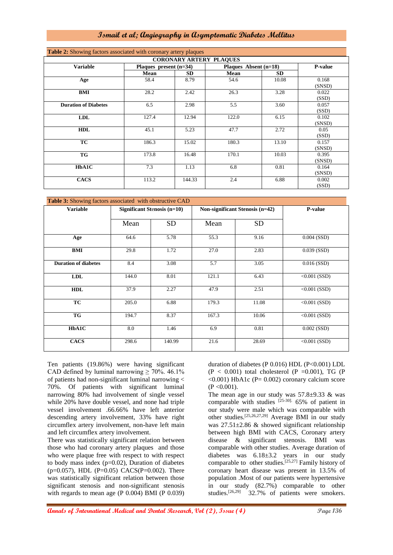| <b>CORONARY ARTERY PLAQUES</b> |                          |           |                       |           |                 |  |
|--------------------------------|--------------------------|-----------|-----------------------|-----------|-----------------|--|
| <b>Variable</b>                | Plaques present $(n=34)$ |           | Plaques Absent (n=18) |           | P-value         |  |
|                                | Mean                     | <b>SD</b> | Mean                  | <b>SD</b> |                 |  |
| Age                            | 58.4                     | 8.79      | 54.6                  | 10.08     | 0.168<br>(SNSD) |  |
| BMI                            | 28.2                     | 2.42      | 26.3                  | 3.28      | 0.022<br>(SSD)  |  |
| <b>Duration of Diabetes</b>    | 6.5                      | 2.98      | 5.5                   | 3.60      | 0.057<br>(SSD)  |  |
| <b>LDL</b>                     | 127.4                    | 12.94     | 122.0                 | 6.15      | 0.102<br>(SNSD) |  |
| <b>HDL</b>                     | 45.1                     | 5.23      | 47.7                  | 2.72      | 0.05<br>(SSD)   |  |
| TC                             | 186.3                    | 15.02     | 180.3                 | 13.10     | 0.157<br>(SNSD) |  |
| <b>TG</b>                      | 173.8                    | 16.48     | 170.1                 | 10.03     | 0.395<br>(SNSD) |  |
| HbA1C                          | 7.3                      | 1.13      | 6.8                   | 0.81      | 0.164<br>(SNSD) |  |
| <b>CACS</b>                    | 113.2                    | 144.33    | 2.4                   | 6.88      | 0.002<br>(SSD)  |  |

| Table 3: Showing factors associated with obstructive CAD |       |                               |                                 |           |                |  |  |  |
|----------------------------------------------------------|-------|-------------------------------|---------------------------------|-----------|----------------|--|--|--|
| <b>Variable</b>                                          |       | Significant Stenosis $(n=10)$ | Non-significant Stenosis (n=42) |           | P-value        |  |  |  |
|                                                          |       |                               |                                 |           |                |  |  |  |
|                                                          | Mean  | <b>SD</b>                     | Mean                            | <b>SD</b> |                |  |  |  |
|                                                          |       |                               |                                 |           |                |  |  |  |
| Age                                                      | 64.6  | 5.78                          | 55.3                            | 9.16      | $0.004$ (SSD)  |  |  |  |
| <b>BMI</b>                                               | 29.8  | 1.72                          | 27.0                            | 2.83      | $0.039$ (SSD)  |  |  |  |
|                                                          |       |                               |                                 |           |                |  |  |  |
| <b>Duration of diabetes</b>                              | 8.4   | 3.08                          | 5.7                             | 3.05      | $0.016$ (SSD)  |  |  |  |
|                                                          |       |                               |                                 |           |                |  |  |  |
| <b>LDL</b>                                               | 144.0 | 8.01                          | 121.1                           | 6.43      | $<0.001$ (SSD) |  |  |  |
| <b>HDL</b>                                               | 37.9  | 2.27                          | 47.9                            | 2.51      | $<0.001$ (SSD) |  |  |  |
|                                                          |       |                               |                                 |           |                |  |  |  |
| <b>TC</b>                                                | 205.0 | 6.88                          | 179.3                           | 11.08     | $<0.001$ (SSD) |  |  |  |
|                                                          |       |                               |                                 |           |                |  |  |  |
| <b>TG</b>                                                | 194.7 | 8.37                          | 167.3                           | 10.06     | $<0.001$ (SSD) |  |  |  |
| HbA1C                                                    | 8.0   | 1.46                          | 6.9                             | 0.81      | $0.002$ (SSD)  |  |  |  |
|                                                          |       |                               |                                 |           |                |  |  |  |
| <b>CACS</b>                                              | 298.6 | 140.99                        | 21.6                            | 28.69     | $<0.001$ (SSD) |  |  |  |
|                                                          |       |                               |                                 |           |                |  |  |  |

Ten patients (19.86%) were having significant CAD defined by luminal narrowing  $\geq 70\%$ . 46.1% of patients had non-significant luminal narrowing < 70%. Of patients with significant luminal narrowing 80% had involvement of single vessel while 20% have double vessel, and none had triple vessel involvement .66.66% have left anterior descending artery involvement, 33% have right circumflex artery involvement, non-have left main and left circumflex artery involvement.

There was statistically significant relation between those who had coronary artery plaques and those who were plaque free with respect to with respect to body mass index (p=0.02), Duration of diabetes  $(p=0.057)$ , HDL  $(P=0.05)$  CACS $(P=0.002)$ . There was statistically significant relation between those significant stenosis and non-significant stenosis with regards to mean age (P 0.004) BMI (P 0.039) duration of diabetes (P 0.016) HDL (P<0.001) LDL  $(P < 0.001)$  total cholesterol  $(P = 0.001)$ , TG  $(P = 0.001)$  $\leq 0.001$ ) HbA1c (P= 0.002) coronary calcium score  $(P < 0.001)$ .

The mean age in our study was  $57.8 \pm 9.33$  & was comparable with studies  $[25-30]$ . 65% of patient in our study were male which was comparable with other studies.[25,26,27,29] Average BMI in our study was  $27.51\pm2.86$  & showed significant relationship between high BMI with CACS, Coronary artery disease & significant stenosis. BMI was comparable with other studies. Average duration of diabetes was  $6.18 \pm 3.2$  years in our study comparable to other studies.<sup>[25,27]</sup> Family history of coronary heart disease was present in 13.5% of population .Most of our patients were hypertensive in our study (82.7%) comparable to other studies.<sup>[26,29]</sup> 32.7% of patients were smokers.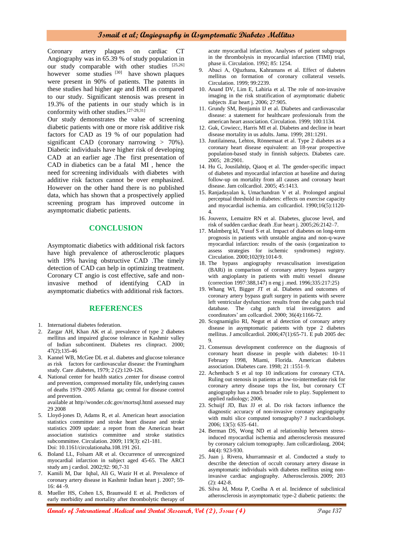Coronary artery plaques on cardiac CT Angiography was in 65.39 % of study population in our study comparable with other studies [25,26] however some studies <sup>[30]</sup> have shown plaques were present in 90% of patients. The patents in these studies had higher age and BMI as compared to our study. Significant stenosis was present in 19.3% of the patients in our study which is in conformity with other studies.[27-29,31]

Our study demonstrates the value of screening diabetic patients with one or more risk additive risk factors for CAD as 19 % of our population had significant CAD (coronary narrowing  $> 70\%$ ). Diabetic individuals have higher risk of developing CAD at an earlier age .The first presentation of CAD in diabetics can be a fatal MI , hence the need for screening individuals with diabetes with additive risk factors cannot be over emphasized. However on the other hand there is no published data, which has shown that a prospectively applied screening program has improved outcome in asymptomatic diabetic patients.

#### **CONCLUSION**

Asymptomatic diabetics with additional risk factors have high prevalence of atherosclerotic plaques with 19% having obstructive CAD. The timely detection of CAD can help in optimizing treatment. Coronary CT angio is cost effective, safe and noninvasive method of identifying CAD in asymptomatic diabetics with additional risk factors.

#### **REFERENCES**

- 1. International diabetes federation.
- 2. Zargar AH, Khan AK et al. prevalence of type 2 diabetes mellitus and impaired glucose tolerance in Kashmir valley of Indian subcontinent. Diabetes res clinpract. 2000; 47(2);135-46
- 3. Kannel WB, McGee DL et al. diabetes and glucose tolerance as risk factors for cardiovascular disease: the Framingham study. Care .diabetes, 1979; 2 (2):120-126.
- 4. National center for health statics ,center for disease control and prevention, compressed mortality file, underlying causes of deaths 1979 -2005 Atlanta ga; central for disease control and prevention. available at http//wonder.cdc.gov/mortsql.html assessed may

29 2008

- 5. Lloyd-jones D, Adams R, et al. American heart association statistics committee and stroke heart disease and stroke statistics 2009 update: a report from the American heart association statistics committee and stroke statistics subcommittee. Circulation. 2009; 119(3): e21-181. Doi: 10.1161/circulationaha.108.191 261.
- 6. Boland LL, Folsam AR et al. Occurrence of unrecognized myocardial infarction in subject aged 45-65. The ARCI study am j cardiol. 2002;92: 90,7-31
- 7. Kamili M, Dar Iqbal, Ali G, Wazir H et al. Prevalence of coronary artery disease in Kashmir Indian heart j. 2007; 59- 16: 44 -9.
- 8. Mueller [HS, Cohen LS, Braunwald E et al. Predictors of](file:///C:/Users/dr%20irfan/Desktop/android%202013/UTD%2019.3%20Mob/UpToDate/contents/mobipreview.htm)  [early morbidity and mortality after thrombolytic therapy of](file:///C:/Users/dr%20irfan/Desktop/android%202013/UTD%2019.3%20Mob/UpToDate/contents/mobipreview.htm)

[acute myocardial infarction. Analyses of patient subgroups](file:///C:/Users/dr%20irfan/Desktop/android%202013/UTD%2019.3%20Mob/UpToDate/contents/mobipreview.htm)  [in the thrombolysis in myocardial infarction \(TIMI\) trial,](file:///C:/Users/dr%20irfan/Desktop/android%202013/UTD%2019.3%20Mob/UpToDate/contents/mobipreview.htm)  [phase ii. Circulation.](file:///C:/Users/dr%20irfan/Desktop/android%202013/UTD%2019.3%20Mob/UpToDate/contents/mobipreview.htm) 1992; 85: 1254.

- 9. [Abaci A, Oğuzhana, Kahramans](file:///C:/Users/dr%20irfan/Desktop/android%202013/UTD%2019.3%20Mob/UpToDate/contents/mobipreview.htm) et al. Effect of diabetes [mellitus on formation of coronary collateral vessels.](file:///C:/Users/dr%20irfan/Desktop/android%202013/UTD%2019.3%20Mob/UpToDate/contents/mobipreview.htm)  Circulation. [1999; 99:2239.](file:///C:/Users/dr%20irfan/Desktop/android%202013/UTD%2019.3%20Mob/UpToDate/contents/mobipreview.htm)
- 10. Anand DV, Lim E, Lahiria [et al. The role of non-invasive](file:///C:/Users/dr%20irfan/Desktop/android%202013/UTD%2019.3%20Mob/UpToDate/contents/mobipreview.htm)  [imaging in the risk stratification of asymptomatic diabetic](file:///C:/Users/dr%20irfan/Desktop/android%202013/UTD%2019.3%20Mob/UpToDate/contents/mobipreview.htm)  [subjects .Eur heart j.](file:///C:/Users/dr%20irfan/Desktop/android%202013/UTD%2019.3%20Mob/UpToDate/contents/mobipreview.htm) 2006; 27:905.
- 11. [Grundy SM, Benjamin IJ et al. Diabetes and cardiovascular](file:///C:/Users/dr%20irfan/Desktop/android%202013/UTD%2019.3%20Mob/UpToDate/contents/mobipreview.htm)  [disease: a statement for healthcare professionals from the](file:///C:/Users/dr%20irfan/Desktop/android%202013/UTD%2019.3%20Mob/UpToDate/contents/mobipreview.htm)  [american heart association. Circulation.](file:///C:/Users/dr%20irfan/Desktop/android%202013/UTD%2019.3%20Mob/UpToDate/contents/mobipreview.htm) 1999; 100:1134.
- 12. [Guk, Cowiecc, Harris MI et al. Diabetes and decline in heart](file:///C:/Users/dr%20irfan/Desktop/android%202013/UTD%2019.3%20Mob/UpToDate/contents/mobipreview.htm)  [disease mortality in us adults. Jama.](file:///C:/Users/dr%20irfan/Desktop/android%202013/UTD%2019.3%20Mob/UpToDate/contents/mobipreview.htm) 1999; 281:1291.
- 13. [Juutilainena, Lehtos, Rönnemaat et al. Type 2 diabetes as a](file:///C:/Users/dr%20irfan/Desktop/android%202013/UTD%2019.3%20Mob/UpToDate/contents/mobipreview.htm)  [coronary heart disease equivalent: an 18-year prospective](file:///C:/Users/dr%20irfan/Desktop/android%202013/UTD%2019.3%20Mob/UpToDate/contents/mobipreview.htm)  [population-based study in finnish subjects. Diabetes care.](file:///C:/Users/dr%20irfan/Desktop/android%202013/UTD%2019.3%20Mob/UpToDate/contents/mobipreview.htm) [2005; 28:2901.](file:///C:/Users/dr%20irfan/Desktop/android%202013/UTD%2019.3%20Mob/UpToDate/contents/mobipreview.htm)
- 14. [Hu G, Jousilahtip, Qiaoq et al. The gender-specific impact](file:///C:/Users/dr%20irfan/Desktop/android%202013/UTD%2019.3%20Mob/UpToDate/contents/mobipreview.htm)  [of diabetes and myocardial infarction at baseline and during](file:///C:/Users/dr%20irfan/Desktop/android%202013/UTD%2019.3%20Mob/UpToDate/contents/mobipreview.htm)  [follow-up on mortality from all causes and coronary heart](file:///C:/Users/dr%20irfan/Desktop/android%202013/UTD%2019.3%20Mob/UpToDate/contents/mobipreview.htm)  [disease. Jam collcardiol.](file:///C:/Users/dr%20irfan/Desktop/android%202013/UTD%2019.3%20Mob/UpToDate/contents/mobipreview.htm) 2005; 45:1413.
- 15. Ranjadayalan k, Umachandran V et al. Prolonged anginal perceptual threshold in diabetes: effects on exercise capacity and myocardial ischemia. am collcardiol. 1990;16(5):1120- 4.
- 16. Jouvenx, Lemaitre RN et al. Diabetes, glucose level, and risk of sudden cardiac death .Eur heart j. 2005;26:2142–7.
- 17. Malmberg kI, Yusuf S et al. Impact of diabetes on long-term prognosis in patients with unstable angina and non-q-wave myocardial infarction: results of the oasis (organization to assess strategies for ischemic syndromes) registry. Circulation. 2000;102(9):1014-9.
- 18. The bypass angiography revasculisation investigation (BARi) in comparison of coronary artery bypass surgery with angioplasty in patients with multi vessel disease (correction 1997:388,147) n eng j .med. 1996;335:217:25)
- 19. Whang WI, Bigger JT et al. Diabetes and outcomes of coronary artery bypass graft surgery in patients with severe left ventricular dysfunction: results from the cabg patch trial database. The cabg patch trial investigators and coordinators' am collcardiol. 2000; 36(4):1166-72.
- 20. Scognamiglio RI, Negut et al detection of coronary artery disease in asymptomatic patients with type 2 diabetes mellitus. J amcollcardiol. 2006;47(1):65-71. E pub 2005 dec 9.
- 21. Consensus development conference on the diagnosis of coronary heart disease in people with diabetes: 10-11 February 1998, Miami, Florida. American diabetes association. Diabetes care. 1998; 21 :1551–9.
- 22. Achenbach S et al top 10 indications for coronary CTA. Ruling out stenosis in patients at low-to-intermediate risk for coronary artery disease tops the list, but coronary CT angiography has a much broader role to play. Supplement to applied radiology; 2006.
- 23. Schuijf JD, Bax JJ et al. Do risk factors influence the diagnostic accuracy of non-invasive coronary angiography with multi slice computed tomography? J nuclcardiolsept. 2006; 13(5): 635–641.
- 24. Berman DS, Wong ND et al relationship between stressinduced myocardial ischemia and atherosclerosis measured by coronary calcium tomography. Jam collcardiolaug. 2004; 44(4): 923-930.
- 25. Juan j. Rivera, khurramnasir et al. Conducted a study to describe the detection of occult coronary artery disease in asymptomatic individuals with diabetes mellitus using noninvasive cardiac angiography. [Atherosclerosis.](http://www.ncbi.nlm.nih.gov/pubmed/18822414) 2009; 203 (2): 442-8.
- 26. Silva Jd, Mota P, Coelha A et al. Incidence of subclinical atherosclerosis in asymptomatic type-2 diabetic patients: the

**Annals of International Medical and Dental Research, Vol (2), Issue (4) Page 137**